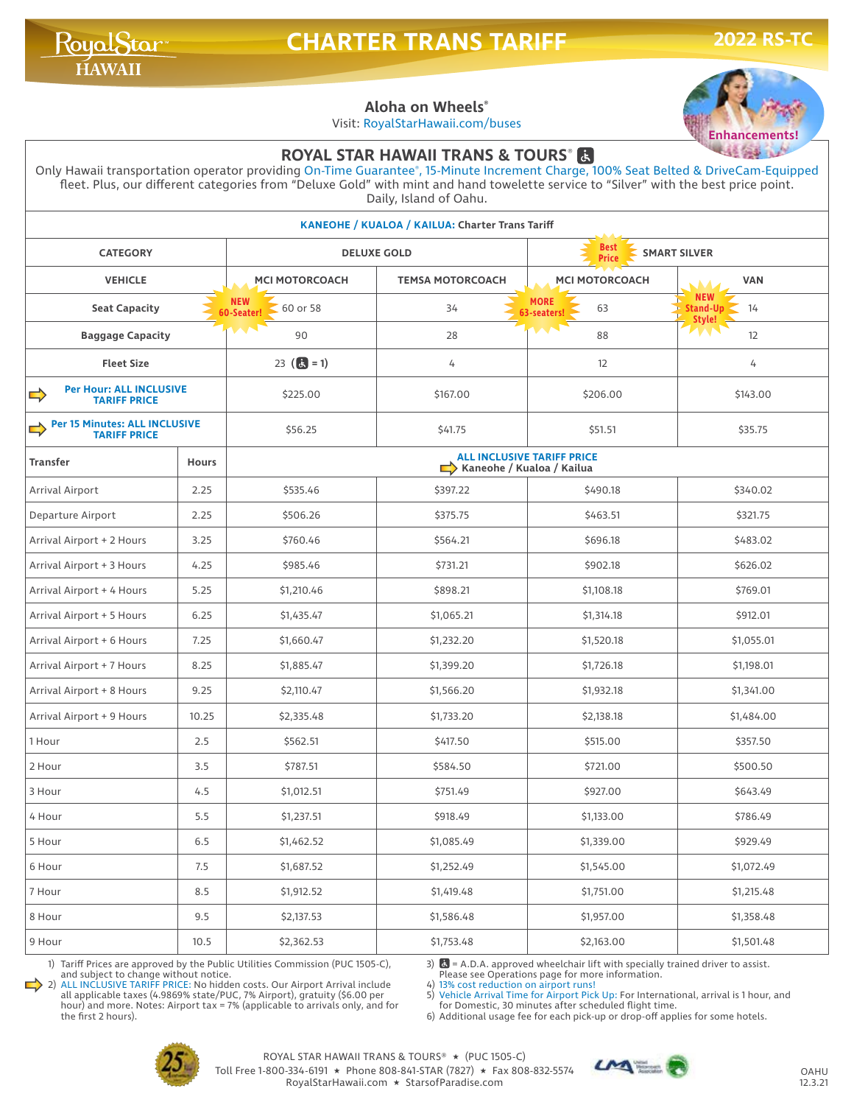## **CHARTER TRANS TARIFF 2022 RS**

**Aloha on Wheels®**

Visit: RoyalStarHawaii.com/buses



## **ROYAL STAR HAWAII TRANS & TOURS**®

Only Hawaii transportation operator providing On-Time Guarantee®, 15-Minute Increment Charge, 100% Seat Belted & DriveCam-Equipped fleet. Plus, our different categories from "Deluxe Gold" with mint and hand towelette service to "Silver" with the best price point. Daily, Island of Oahu.

|                                                                        |              |                                                                | <b>KANEOHE / KUALOA / KAILUA: Charter Trans Tariff</b> |                                                    |                                     |  |  |
|------------------------------------------------------------------------|--------------|----------------------------------------------------------------|--------------------------------------------------------|----------------------------------------------------|-------------------------------------|--|--|
| <b>CATEGORY</b>                                                        |              | <b>DELUXE GOLD</b>                                             |                                                        | <b>Best</b><br><b>SMART SILVER</b><br><b>Price</b> |                                     |  |  |
| <b>VEHICLE</b>                                                         |              | <b>MCI MOTORCOACH</b>                                          | <b>TEMSA MOTORCOACH</b>                                | <b>MCI MOTORCOACH</b>                              | <b>VAN</b>                          |  |  |
| <b>Seat Capacity</b>                                                   |              | <b>NEW</b><br>60 or 58<br>60-Seater!                           | 34                                                     | <b>MORE</b><br>63<br>63-seaters!                   | <b>NEW</b><br><b>Stand-Up</b><br>14 |  |  |
| <b>Baggage Capacity</b>                                                |              | 90                                                             | 28                                                     | 88                                                 | Style!<br><b>ZAA</b><br>12          |  |  |
| <b>Fleet Size</b>                                                      |              | 23 ( $\binom{1}{3} = 1$ )                                      | 4                                                      | 12                                                 | 4                                   |  |  |
| <b>Per Hour: ALL INCLUSIVE</b><br>$\Rightarrow$<br><b>TARIFF PRICE</b> |              | \$225.00                                                       | \$167.00                                               | \$206.00                                           | \$143.00                            |  |  |
| Per 15 Minutes: ALL INCLUSIVE<br><b>TARIFF PRICE</b>                   |              | \$56.25                                                        | \$41.75                                                | \$51.51                                            | \$35.75                             |  |  |
| <b>Transfer</b>                                                        | <b>Hours</b> | <b>ALL INCLUSIVE TARIFF PRICE</b><br>Kaneohe / Kualoa / Kailua |                                                        |                                                    |                                     |  |  |
| Arrival Airport                                                        | 2.25         | \$535.46                                                       | \$397.22                                               | \$490.18                                           | \$340.02                            |  |  |
| Departure Airport                                                      | 2.25         | \$506.26                                                       | \$375.75                                               | \$463.51                                           | \$321.75                            |  |  |
| Arrival Airport + 2 Hours                                              | 3.25         | \$760.46                                                       | \$564.21                                               | \$696.18                                           | \$483.02                            |  |  |
| Arrival Airport + 3 Hours                                              | 4.25         | \$985.46                                                       | \$731.21                                               | \$902.18                                           | \$626.02                            |  |  |
| Arrival Airport + 4 Hours                                              | 5.25         | \$1,210.46                                                     | \$898.21                                               | \$1,108.18                                         | \$769.01                            |  |  |
| Arrival Airport + 5 Hours                                              | 6.25         | \$1,435.47                                                     | \$1,065.21                                             | \$1,314.18                                         | \$912.01                            |  |  |
| Arrival Airport + 6 Hours                                              | 7.25         | \$1,660.47                                                     | \$1,232.20                                             | \$1,520.18                                         | \$1,055.01                          |  |  |
| Arrival Airport + 7 Hours                                              | 8.25         | \$1,885.47                                                     | \$1,399.20                                             | \$1,726.18                                         | \$1,198.01                          |  |  |
| Arrival Airport + 8 Hours                                              | 9.25         | \$2,110.47                                                     | \$1,566.20                                             | \$1,932.18                                         | \$1,341.00                          |  |  |
| Arrival Airport + 9 Hours                                              | 10.25        | \$2,335.48                                                     | \$1,733.20                                             | \$2,138.18                                         | \$1,484.00                          |  |  |
| 1 Hour                                                                 | 2.5          | \$562.51                                                       | \$417.50                                               | \$515.00                                           | \$357.50                            |  |  |
| 2 Hour                                                                 | 3.5          | \$787.51                                                       | \$584.50                                               | \$721.00                                           | \$500.50                            |  |  |
| 3 Hour                                                                 | 4.5          | \$1,012.51                                                     | \$751.49                                               | \$927.00                                           | \$643.49                            |  |  |
| 4 Hour                                                                 | 5.5          | \$1,237.51                                                     | \$918.49                                               | \$1,133.00                                         | \$786.49                            |  |  |
| 5 Hour                                                                 | 6.5          | \$1,462.52                                                     | \$1,085.49                                             | \$1,339.00                                         | \$929.49                            |  |  |
| 6 Hour                                                                 | 7.5          | \$1,687.52                                                     | \$1,252.49                                             | \$1,545.00                                         | \$1,072.49                          |  |  |
| 7 Hour                                                                 | 8.5          | \$1,912.52                                                     | \$1,419.48                                             | \$1,751.00                                         | \$1,215.48                          |  |  |
| 8 Hour                                                                 | 9.5          | \$2,137.53                                                     | \$1,586.48                                             | \$1,957.00                                         | \$1,358.48                          |  |  |
| 9 Hour                                                                 | 10.5         | \$2,362.53                                                     | \$1,753.48                                             | \$2,163.00                                         | \$1,501.48                          |  |  |

1) Tariff Prices are approved by the Public Utilities Commission (PUC 1505-C),

3)  $\bullet$  = A.D.A. approved wheelchair lift with specially trained driver to assist.

Please see Operations page for more information. 4) 13% cost reduction on airport runs!

and subject to change without notice. 2) ALL INCLUSIVE TARIFF PRICE: No hidden costs. Our Airport Arrival include all applicable taxes (4.9869% state/PUC, 7% Airport), gratuity (\$6.00 per hour) and more. Notes: Airport tax = 7% (applicable to arrivals only, and for the first 2 hours).

5) Vehicle Arrival Time for Airport Pick Up: For International, arrival is 1 hour, and for Domestic, 30 minutes after scheduled flight time.

6) Additional usage fee for each pick-up or drop-off applies for some hotels.